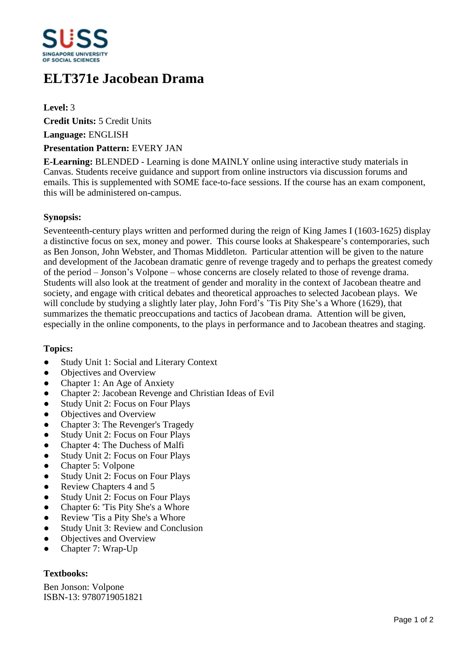

# **ELT371e Jacobean Drama**

**Level:** 3

**Credit Units:** 5 Credit Units

**Language:** ENGLISH

#### **Presentation Pattern:** EVERY JAN

**E-Learning:** BLENDED - Learning is done MAINLY online using interactive study materials in Canvas. Students receive guidance and support from online instructors via discussion forums and emails. This is supplemented with SOME face-to-face sessions. If the course has an exam component, this will be administered on-campus.

# **Synopsis:**

Seventeenth-century plays written and performed during the reign of King James I (1603-1625) display a distinctive focus on sex, money and power. This course looks at Shakespeare's contemporaries, such as Ben Jonson, John Webster, and Thomas Middleton. Particular attention will be given to the nature and development of the Jacobean dramatic genre of revenge tragedy and to perhaps the greatest comedy of the period – Jonson's Volpone – whose concerns are closely related to those of revenge drama. Students will also look at the treatment of gender and morality in the context of Jacobean theatre and society, and engage with critical debates and theoretical approaches to selected Jacobean plays. We will conclude by studying a slightly later play, John Ford's  $T$ is Pity She's a Whore (1629), that summarizes the thematic preoccupations and tactics of Jacobean drama. Attention will be given, especially in the online components, to the plays in performance and to Jacobean theatres and staging.

# **Topics:**

- Study Unit 1: Social and Literary Context
- Objectives and Overview
- Chapter 1: An Age of Anxiety
- Chapter 2: Jacobean Revenge and Christian Ideas of Evil
- Study Unit 2: Focus on Four Plays
- Objectives and Overview
- Chapter 3: The Revenger's Tragedy
- Study Unit 2: Focus on Four Plays
- Chapter 4: The Duchess of Malfi
- Study Unit 2: Focus on Four Plays
- Chapter 5: Volpone
- Study Unit 2: Focus on Four Plays
- Review Chapters 4 and 5
- Study Unit 2: Focus on Four Plays
- Chapter 6: 'Tis Pity She's a Whore
- Review 'Tis a Pity She's a Whore
- Study Unit 3: Review and Conclusion
- ƔObjectives and Overview
- Chapter 7: Wrap-Up

# **Textbooks:**

Ben Jonson: Volpone ISBN-13: 9780719051821